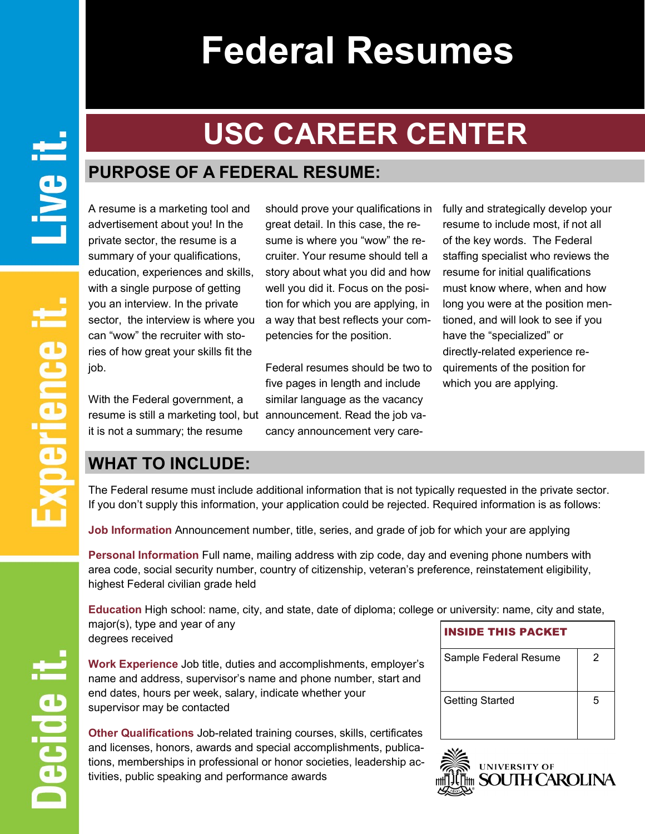# **Federal Resumes**

## **USC CAREER CENTER**

## **PURPOSE OF A FEDERAL RESUME:**

A resume is a marketing tool and advertisement about you! In the private sector, the resume is a summary of your qualifications, education, experiences and skills, with a single purpose of getting you an interview. In the private sector, the interview is where you can "wow" the recruiter with stories of how great your skills fit the job.

With the Federal government, a resume is still a marketing tool, but announcement. Read the job vait is not a summary; the resume

great detail. In this case, the resume is where you "wow" the recruiter. Your resume should tell a story about what you did and how well you did it. Focus on the position for which you are applying, in a way that best reflects your competencies for the position.

Federal resumes should be two to five pages in length and include similar language as the vacancy cancy announcement very care-

should prove your qualifications in fully and strategically develop your resume to include most, if not all of the key words. The Federal staffing specialist who reviews the resume for initial qualifications must know where, when and how long you were at the position mentioned, and will look to see if you have the "specialized" or directly-related experience requirements of the position for which you are applying.

## **WHAT TO INCLUDE:**

The Federal resume must include additional information that is not typically requested in the private sector. If you don't supply this information, your application could be rejected. Required information is as follows:

**Job Information** Announcement number, title, series, and grade of job for which your are applying

**Personal Information** Full name, mailing address with zip code, day and evening phone numbers with area code, social security number, country of citizenship, veteran's preference, reinstatement eligibility, highest Federal civilian grade held

**Education** High school: name, city, and state, date of diploma; college or university: name, city and state, major(s), type and year of any degrees received INSIDE THIS PACKET

**Work Experience** Job title, duties and accomplishments, employer's name and address, supervisor's name and phone number, start and end dates, hours per week, salary, indicate whether your supervisor may be contacted

**Other Qualifications** Job-related training courses, skills, certificates and licenses, honors, awards and special accomplishments, publications, memberships in professional or honor societies, leadership activities, public speaking and performance awards

| <b>INSIDE THIS PACKET</b> |   |
|---------------------------|---|
| Sample Federal Resume     | 2 |
| <b>Getting Started</b>    | 5 |



Decide il

**Live it**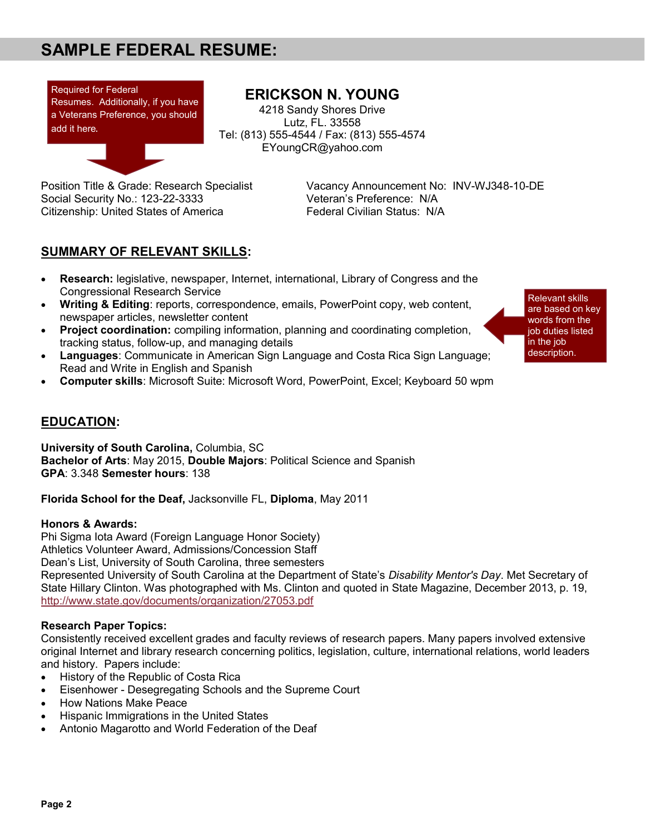## **SAMPLE FEDERAL RESUME:**



#### **ERICKSON N. YOUNG**

4218 Sandy Shores Drive Lutz, FL. 33558 Tel: (813) 555-4544 / Fax: (813) 555-4574 EYoungCR@yahoo.com

Social Security No.: 123-22-3333 Veteran's Preference: N/A Citizenship: United States of America Federal Civilian Status: N/A

Position Title & Grade: Research Specialist Vacancy Announcement No: INV-WJ348-10-DE

#### **SUMMARY OF RELEVANT SKILLS:**

- **Research:** legislative, newspaper, Internet, international, Library of Congress and the Congressional Research Service
- **Writing & Editing**: reports, correspondence, emails, PowerPoint copy, web content, newspaper articles, newsletter content
- **Project coordination:** compiling information, planning and coordinating completion, tracking status, follow-up, and managing details
- **Languages**: Communicate in American Sign Language and Costa Rica Sign Language; Read and Write in English and Spanish
- **Computer skills**: Microsoft Suite: Microsoft Word, PowerPoint, Excel; Keyboard 50 wpm

#### **EDUCATION:**

**University of South Carolina,** Columbia, SC **Bachelor of Arts**: May 2015, **Double Majors**: Political Science and Spanish **GPA**: 3.348 **Semester hours**: 138

**Florida School for the Deaf,** Jacksonville FL, **Diploma**, May 2011

#### **Honors & Awards:**

Phi Sigma Iota Award (Foreign Language Honor Society) Athletics Volunteer Award, Admissions/Concession Staff Dean's List, University of South Carolina, three semesters Represented University of South Carolina at the Department of State's *Disability Mentor's Day*. Met Secretary of State Hillary Clinton. Was photographed with Ms. Clinton and quoted in State Magazine, December 2013, p. 19, http://www.state.gov/documents/organization/27053.pdf

#### **Research Paper Topics:**

Consistently received excellent grades and faculty reviews of research papers. Many papers involved extensive original Internet and library research concerning politics, legislation, culture, international relations, world leaders and history. Papers include:

- History of the Republic of Costa Rica
- Eisenhower Desegregating Schools and the Supreme Court
- How Nations Make Peace
- Hispanic Immigrations in the United States
- Antonio Magarotto and World Federation of the Deaf

Relevant skills are based on key words from the job duties listed in the job description.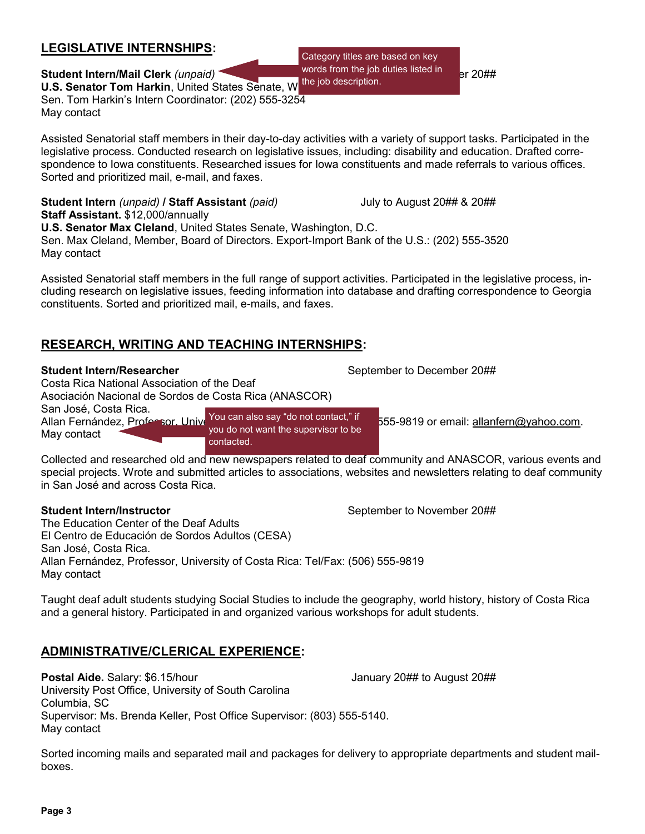#### **LEGISLATIVE INTERNSHIPS:**

**Student Intern/Mail Clerk** *(unpaid)* September 20##  $\frac{1}{2}$  September 20#  $\frac{1}{2}$  Pr 20## **U.S. Senator Tom Harkin, United States Senate, W** Sen. Tom Harkin's Intern Coordinator: (202) 555-3254 May contact

Assisted Senatorial staff members in their day-to-day activities with a variety of support tasks. Participated in the legislative process. Conducted research on legislative issues, including: disability and education. Drafted correspondence to Iowa constituents. Researched issues for Iowa constituents and made referrals to various offices. Sorted and prioritized mail, e-mail, and faxes.

**Student Intern** *(unpaid)* **/ Staff Assistant** *(paid)* July to August 20## & 20## **Staff Assistant.** \$12,000/annually

**U.S. Senator Max Cleland**, United States Senate, Washington, D.C. Sen. Max Cleland, Member, Board of Directors. Export-Import Bank of the U.S.: (202) 555-3520 May contact

Assisted Senatorial staff members in the full range of support activities. Participated in the legislative process, including research on legislative issues, feeding information into database and drafting correspondence to Georgia constituents. Sorted and prioritized mail, e-mails, and faxes.

#### **RESEARCH, WRITING AND TEACHING INTERNSHIPS:**

#### **Student Intern/Researcher** September to December 20##

Costa Rica National Association of the Deaf

Asociación Nacional de Sordos de Costa Rica (ANASCOR)

San José, Costa Rica.

Allan Fernández, Professor, Unive<sup>You can also say "do not contact," if</sup> 555-9819 or email: allanfern@yahoo.com. May contact you do not want the supervisor to be contacted.

Collected and researched old and new newspapers related to deaf community and ANASCOR, various events and special projects. Wrote and submitted articles to associations, websites and newsletters relating to deaf community in San José and across Costa Rica.

#### **Student Intern/Instructor** The September to November 20##

The Education Center of the Deaf Adults El Centro de Educación de Sordos Adultos (CESA) San José, Costa Rica. Allan Fernández, Professor, University of Costa Rica: Tel/Fax: (506) 555-9819 May contact

Taught deaf adult students studying Social Studies to include the geography, world history, history of Costa Rica and a general history. Participated in and organized various workshops for adult students.

### **ADMINISTRATIVE/CLERICAL EXPERIENCE:**

**Postal Aide.** Salary: \$6.15/hour **January 20## to August 20##** University Post Office, University of South Carolina Columbia, SC Supervisor: Ms. Brenda Keller, Post Office Supervisor: (803) 555-5140. May contact

Sorted incoming mails and separated mail and packages for delivery to appropriate departments and student mailboxes.

Category titles are based on key words from the job duties listed in the job description.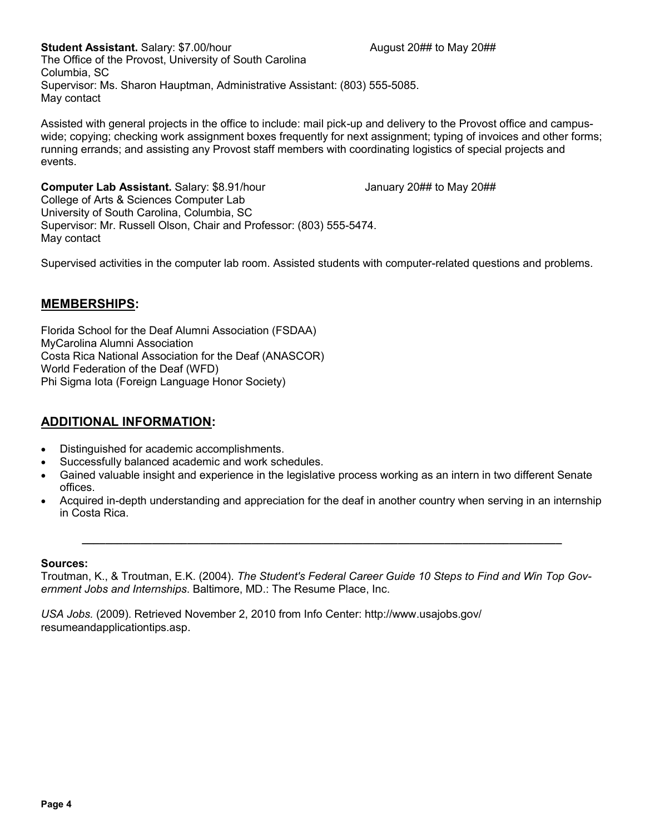**Student Assistant.** Salary: \$7.00/hour August 20## to May 20## to May 20## The Office of the Provost, University of South Carolina Columbia, SC Supervisor: Ms. Sharon Hauptman, Administrative Assistant: (803) 555-5085. May contact

Assisted with general projects in the office to include: mail pick-up and delivery to the Provost office and campuswide; copying; checking work assignment boxes frequently for next assignment; typing of invoices and other forms; running errands; and assisting any Provost staff members with coordinating logistics of special projects and events.

**Computer Lab Assistant.** Salary: \$8.91/hour January 20## to May 20## College of Arts & Sciences Computer Lab University of South Carolina, Columbia, SC Supervisor: Mr. Russell Olson, Chair and Professor: (803) 555-5474. May contact

Supervised activities in the computer lab room. Assisted students with computer-related questions and problems.

#### **MEMBERSHIPS:**

Florida School for the Deaf Alumni Association (FSDAA) MyCarolina Alumni Association Costa Rica National Association for the Deaf (ANASCOR) World Federation of the Deaf (WFD) Phi Sigma Iota (Foreign Language Honor Society)

#### **ADDITIONAL INFORMATION:**

- Distinguished for academic accomplishments.
- Successfully balanced academic and work schedules.
- Gained valuable insight and experience in the legislative process working as an intern in two different Senate offices.
- Acquired in-depth understanding and appreciation for the deaf in another country when serving in an internship in Costa Rica.

**\_\_\_\_\_\_\_\_\_\_\_\_\_\_\_\_\_\_\_\_\_\_\_\_\_\_\_\_\_\_\_\_\_\_\_\_\_\_\_\_\_\_\_\_\_\_\_\_\_\_\_\_\_\_\_\_\_\_\_\_\_\_\_\_\_\_\_\_\_\_\_\_\_\_\_\_\_\_\_\_\_\_**

#### **Sources:**

Troutman, K., & Troutman, E.K. (2004). *The Student's Federal Career Guide 10 Steps to Find and Win Top Government Jobs and Internships*. Baltimore, MD.: The Resume Place, Inc.

*USA Jobs.* (2009). Retrieved November 2, 2010 from Info Center: http://www.usajobs.gov/ resumeandapplicationtips.asp.